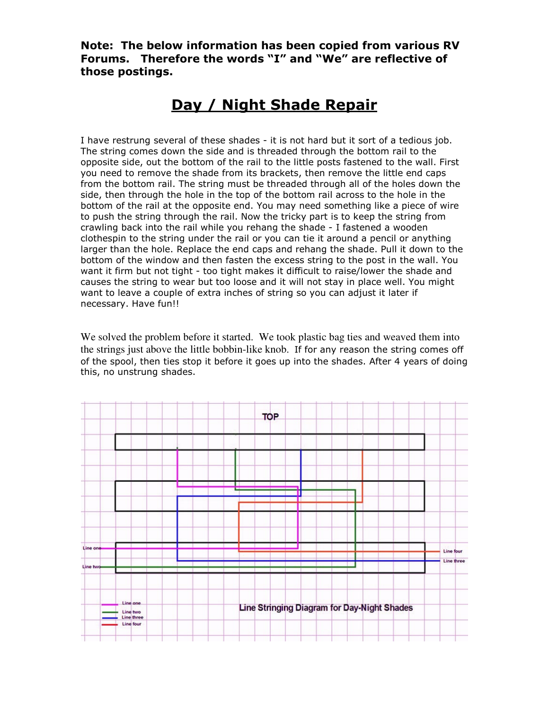Note: The below information has been copied from various RV Forums. Therefore the words "I" and "We" are reflective of those postings.

## Day / Night Shade Repair

I have restrung several of these shades - it is not hard but it sort of a tedious job. The string comes down the side and is threaded through the bottom rail to the opposite side, out the bottom of the rail to the little posts fastened to the wall. First you need to remove the shade from its brackets, then remove the little end caps from the bottom rail. The string must be threaded through all of the holes down the side, then through the hole in the top of the bottom rail across to the hole in the bottom of the rail at the opposite end. You may need something like a piece of wire to push the string through the rail. Now the tricky part is to keep the string from crawling back into the rail while you rehang the shade - I fastened a wooden clothespin to the string under the rail or you can tie it around a pencil or anything larger than the hole. Replace the end caps and rehang the shade. Pull it down to the bottom of the window and then fasten the excess string to the post in the wall. You want it firm but not tight - too tight makes it difficult to raise/lower the shade and causes the string to wear but too loose and it will not stay in place well. You might want to leave a couple of extra inches of string so you can adjust it later if necessary. Have fun!!

We solved the problem before it started. We took plastic bag ties and weaved them into the strings just above the little bobbin-like knob. If for any reason the string comes off of the spool, then ties stop it before it goes up into the shades. After 4 years of doing this, no unstrung shades.